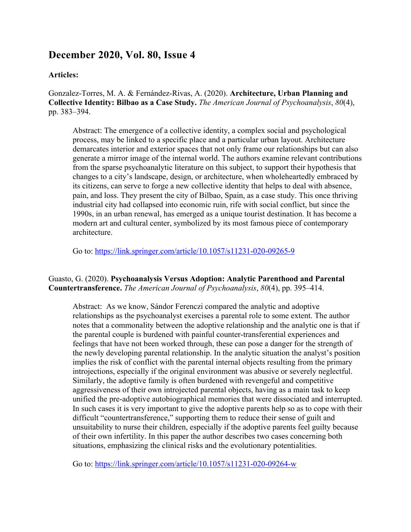## **December 2020, Vol. 80, Issue 4**

## **Articles:**

Gonzalez-Torres, M. A. & Fernández-Rivas, A. (2020). **Architecture, Urban Planning and Collective Identity: Bilbao as a Case Study.** *The American Journal of Psychoanalysis*, *80*(4), pp. 383–394.

Abstract: The emergence of a collective identity, a complex social and psychological process, may be linked to a specific place and a particular urban layout. Architecture demarcates interior and exterior spaces that not only frame our relationships but can also generate a mirror image of the internal world. The authors examine relevant contributions from the sparse psychoanalytic literature on this subject, to support their hypothesis that changes to a city's landscape, design, or architecture, when wholeheartedly embraced by its citizens, can serve to forge a new collective identity that helps to deal with absence, pain, and loss. They present the city of Bilbao, Spain, as a case study. This once thriving industrial city had collapsed into economic ruin, rife with social conflict, but since the 1990s, in an urban renewal, has emerged as a unique tourist destination. It has become a modern art and cultural center, symbolized by its most famous piece of contemporary architecture.

Go to: https://link.springer.com/article/10.1057/s11231-020-09265-9

Guasto, G. (2020). **Psychoanalysis Versus Adoption: Analytic Parenthood and Parental Countertransference.** *The American Journal of Psychoanalysis*, *80*(4), pp. 395–414.

Abstract: As we know, Sándor Ferenczi compared the analytic and adoptive relationships as the psychoanalyst exercises a parental role to some extent. The author notes that a commonality between the adoptive relationship and the analytic one is that if the parental couple is burdened with painful counter-transferential experiences and feelings that have not been worked through, these can pose a danger for the strength of the newly developing parental relationship. In the analytic situation the analyst's position implies the risk of conflict with the parental internal objects resulting from the primary introjections, especially if the original environment was abusive or severely neglectful. Similarly, the adoptive family is often burdened with revengeful and competitive aggressiveness of their own introjected parental objects, having as a main task to keep unified the pre-adoptive autobiographical memories that were dissociated and interrupted. In such cases it is very important to give the adoptive parents help so as to cope with their difficult "countertransference," supporting them to reduce their sense of guilt and unsuitability to nurse their children, especially if the adoptive parents feel guilty because of their own infertility. In this paper the author describes two cases concerning both situations, emphasizing the clinical risks and the evolutionary potentialities.

Go to: https://link.springer.com/article/10.1057/s11231-020-09264-w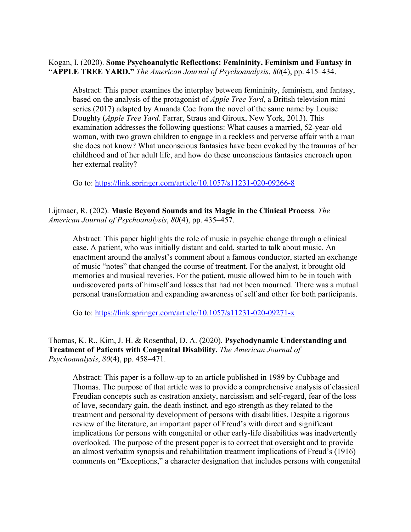## Kogan, I. (2020). **Some Psychoanalytic Reflections: Femininity, Feminism and Fantasy in "APPLE TREE YARD."** *The American Journal of Psychoanalysis*, *80*(4), pp. 415–434.

Abstract: This paper examines the interplay between femininity, feminism, and fantasy, based on the analysis of the protagonist of *Apple Tree Yard*, a British television mini series (2017) adapted by Amanda Coe from the novel of the same name by Louise Doughty (*Apple Tree Yard*. Farrar, Straus and Giroux, New York, 2013). This examination addresses the following questions: What causes a married, 52-year-old woman, with two grown children to engage in a reckless and perverse affair with a man she does not know? What unconscious fantasies have been evoked by the traumas of her childhood and of her adult life, and how do these unconscious fantasies encroach upon her external reality?

Go to: https://link.springer.com/article/10.1057/s11231-020-09266-8

Lijtmaer, R. (202). **Music Beyond Sounds and its Magic in the Clinical Process**. *The American Journal of Psychoanalysis*, *80*(4), pp. 435–457.

Abstract: This paper highlights the role of music in psychic change through a clinical case. A patient, who was initially distant and cold, started to talk about music. An enactment around the analyst's comment about a famous conductor, started an exchange of music "notes" that changed the course of treatment. For the analyst, it brought old memories and musical reveries. For the patient, music allowed him to be in touch with undiscovered parts of himself and losses that had not been mourned. There was a mutual personal transformation and expanding awareness of self and other for both participants.

Go to: https://link.springer.com/article/10.1057/s11231-020-09271-x

Thomas, K. R., Kim, J. H. & Rosenthal, D. A. (2020). **Psychodynamic Understanding and Treatment of Patients with Congenital Disability.** *The American Journal of Psychoanalysis*, *80*(4), pp. 458–471.

Abstract: This paper is a follow-up to an article published in 1989 by Cubbage and Thomas. The purpose of that article was to provide a comprehensive analysis of classical Freudian concepts such as castration anxiety, narcissism and self-regard, fear of the loss of love, secondary gain, the death instinct, and ego strength as they related to the treatment and personality development of persons with disabilities. Despite a rigorous review of the literature, an important paper of Freud's with direct and significant implications for persons with congenital or other early-life disabilities was inadvertently overlooked. The purpose of the present paper is to correct that oversight and to provide an almost verbatim synopsis and rehabilitation treatment implications of Freud's (1916) comments on "Exceptions," a character designation that includes persons with congenital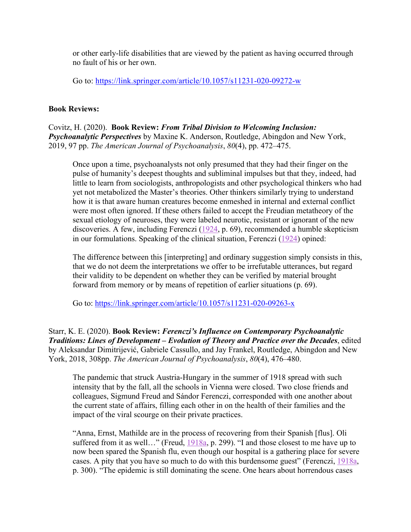or other early-life disabilities that are viewed by the patient as having occurred through no fault of his or her own.

Go to: https://link.springer.com/article/10.1057/s11231-020-09272-w

## **Book Reviews:**

Covitz, H. (2020). **Book Review:** *From Tribal Division to Welcoming Inclusion: Psychoanalytic Perspectives* by Maxine K. Anderson, Routledge, Abingdon and New York, 2019, 97 pp. *The American Journal of Psychoanalysis*, *80*(4), pp. 472–475.

Once upon a time, psychoanalysts not only presumed that they had their finger on the pulse of humanity's deepest thoughts and subliminal impulses but that they, indeed, had little to learn from sociologists, anthropologists and other psychological thinkers who had yet not metabolized the Master's theories. Other thinkers similarly trying to understand how it is that aware human creatures become enmeshed in internal and external conflict were most often ignored. If these others failed to accept the Freudian metatheory of the sexual etiology of neuroses, they were labeled neurotic, resistant or ignorant of the new discoveries. A few, including Ferenczi (1924, p. 69), recommended a humble skepticism in our formulations. Speaking of the clinical situation, Ferenczi (1924) opined:

The difference between this [interpreting] and ordinary suggestion simply consists in this, that we do not deem the interpretations we offer to be irrefutable utterances, but regard their validity to be dependent on whether they can be verified by material brought forward from memory or by means of repetition of earlier situations (p. 69).

Go to: https://link.springer.com/article/10.1057/s11231-020-09263-x

Starr, K. E. (2020). **Book Review:** *Ferenczi's Influence on Contemporary Psychoanalytic Traditions: Lines of Development – Evolution of Theory and Practice over the Decades*, edited by Aleksandar Dimitrijević, Gabriele Cassullo, and Jay Frankel, Routledge, Abingdon and New York, 2018, 308pp. *The American Journal of Psychoanalysis*, *80*(4), 476–480.

The pandemic that struck Austria-Hungary in the summer of 1918 spread with such intensity that by the fall, all the schools in Vienna were closed. Two close friends and colleagues, Sigmund Freud and Sándor Ferenczi, corresponded with one another about the current state of affairs, filling each other in on the health of their families and the impact of the viral scourge on their private practices.

"Anna, Ernst, Mathilde are in the process of recovering from their Spanish [flus]. Oli suffered from it as well..." (Freud,  $\frac{1918a}{p}$ , p. 299). "I and those closest to me have up to now been spared the Spanish flu, even though our hospital is a gathering place for severe cases. A pity that you have so much to do with this burdensome guest" (Ferenczi, 1918a, p. 300). "The epidemic is still dominating the scene. One hears about horrendous cases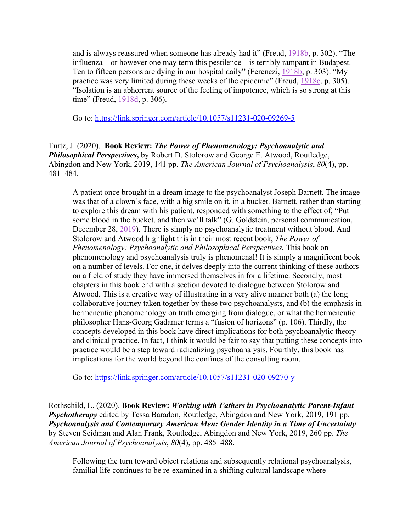and is always reassured when someone has already had it" (Freud,  $\frac{1918b}{p}$ , p. 302). "The influenza – or however one may term this pestilence – is terribly rampant in Budapest. Ten to fifteen persons are dying in our hospital daily" (Ferenczi, 1918b, p. 303). "My practice was very limited during these weeks of the epidemic" (Freud, 1918c, p. 305). "Isolation is an abhorrent source of the feeling of impotence, which is so strong at this time" (Freud, 1918d, p. 306).

Go to: https://link.springer.com/article/10.1057/s11231-020-09269-5

Turtz, J. (2020). **Book Review:** *The Power of Phenomenology: Psychoanalytic and Philosophical Perspectives***,** by Robert D. Stolorow and George E. Atwood, Routledge, Abingdon and New York, 2019, 141 pp. *The American Journal of Psychoanalysis*, *80*(4), pp. 481–484.

A patient once brought in a dream image to the psychoanalyst Joseph Barnett. The image was that of a clown's face, with a big smile on it, in a bucket. Barnett, rather than starting to explore this dream with his patient, responded with something to the effect of, "Put some blood in the bucket, and then we'll talk" (G. Goldstein, personal communication, December 28, 2019). There is simply no psychoanalytic treatment without blood. And Stolorow and Atwood highlight this in their most recent book, *The Power of Phenomenology: Psychoanalytic and Philosophical Perspectives.* This book on phenomenology and psychoanalysis truly is phenomenal! It is simply a magnificent book on a number of levels. For one, it delves deeply into the current thinking of these authors on a field of study they have immersed themselves in for a lifetime. Secondly, most chapters in this book end with a section devoted to dialogue between Stolorow and Atwood. This is a creative way of illustrating in a very alive manner both (a) the long collaborative journey taken together by these two psychoanalysts, and (b) the emphasis in hermeneutic phenomenology on truth emerging from dialogue, or what the hermeneutic philosopher Hans-Georg Gadamer terms a "fusion of horizons" (p. 106). Thirdly, the concepts developed in this book have direct implications for both psychoanalytic theory and clinical practice. In fact, I think it would be fair to say that putting these concepts into practice would be a step toward radicalizing psychoanalysis. Fourthly, this book has implications for the world beyond the confines of the consulting room.

Go to: https://link.springer.com/article/10.1057/s11231-020-09270-y

Rothschild, L. (2020). **Book Review:** *Working with Fathers in Psychoanalytic Parent-Infant Psychotherapy* edited by Tessa Baradon, Routledge, Abingdon and New York, 2019, 191 pp. *Psychoanalysis and Contemporary American Men: Gender Identity in a Time of Uncertainty* by Steven Seidman and Alan Frank, Routledge, Abingdon and New York, 2019, 260 pp. *The American Journal of Psychoanalysis*, *80*(4), pp. 485–488.

Following the turn toward object relations and subsequently relational psychoanalysis, familial life continues to be re-examined in a shifting cultural landscape where